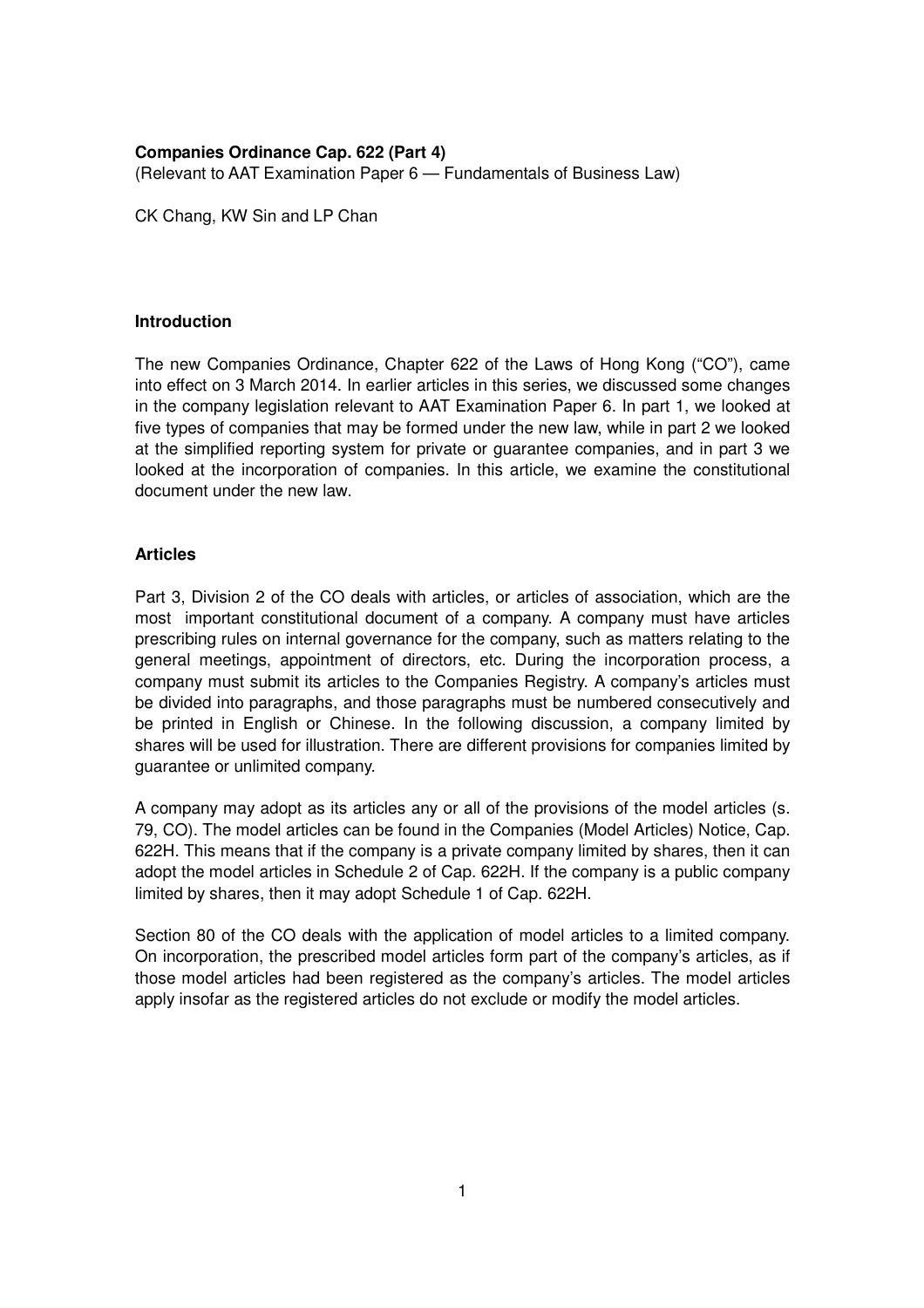# **Companies Ordinance Cap. 622 (Part 4)**

(Relevant to AAT Examination Paper 6 — Fundamentals of Business Law)

CK Chang, KW Sin and LP Chan

## **Introduction**

The new Companies Ordinance, Chapter 622 of the Laws of Hong Kong ("CO"), came into effect on 3 March 2014. In earlier articles in this series, we discussed some changes in the company legislation relevant to AAT Examination Paper 6. In part 1, we looked at five types of companies that may be formed under the new law, while in part 2 we looked at the simplified reporting system for private or guarantee companies, and in part 3 we looked at the incorporation of companies. In this article, we examine the constitutional document under the new law.

## **Articles**

Part 3, Division 2 of the CO deals with articles, or articles of association, which are the most important constitutional document of a company. A company must have articles prescribing rules on internal governance for the company, such as matters relating to the general meetings, appointment of directors, etc. During the incorporation process, a company must submit its articles to the Companies Registry. A company's articles must be divided into paragraphs, and those paragraphs must be numbered consecutively and be printed in English or Chinese. In the following discussion, a company limited by shares will be used for illustration. There are different provisions for companies limited by guarantee or unlimited company.

A company may adopt as its articles any or all of the provisions of the model articles (s. 79, CO). The model articles can be found in the Companies (Model Articles) Notice, Cap. 622H. This means that if the company is a private company limited by shares, then it can adopt the model articles in Schedule 2 of Cap. 622H. If the company is a public company limited by shares, then it may adopt Schedule 1 of Cap. 622H.

Section 80 of the CO deals with the application of model articles to a limited company. On incorporation, the prescribed model articles form part of the company's articles, as if those model articles had been registered as the company's articles. The model articles apply insofar as the registered articles do not exclude or modify the model articles.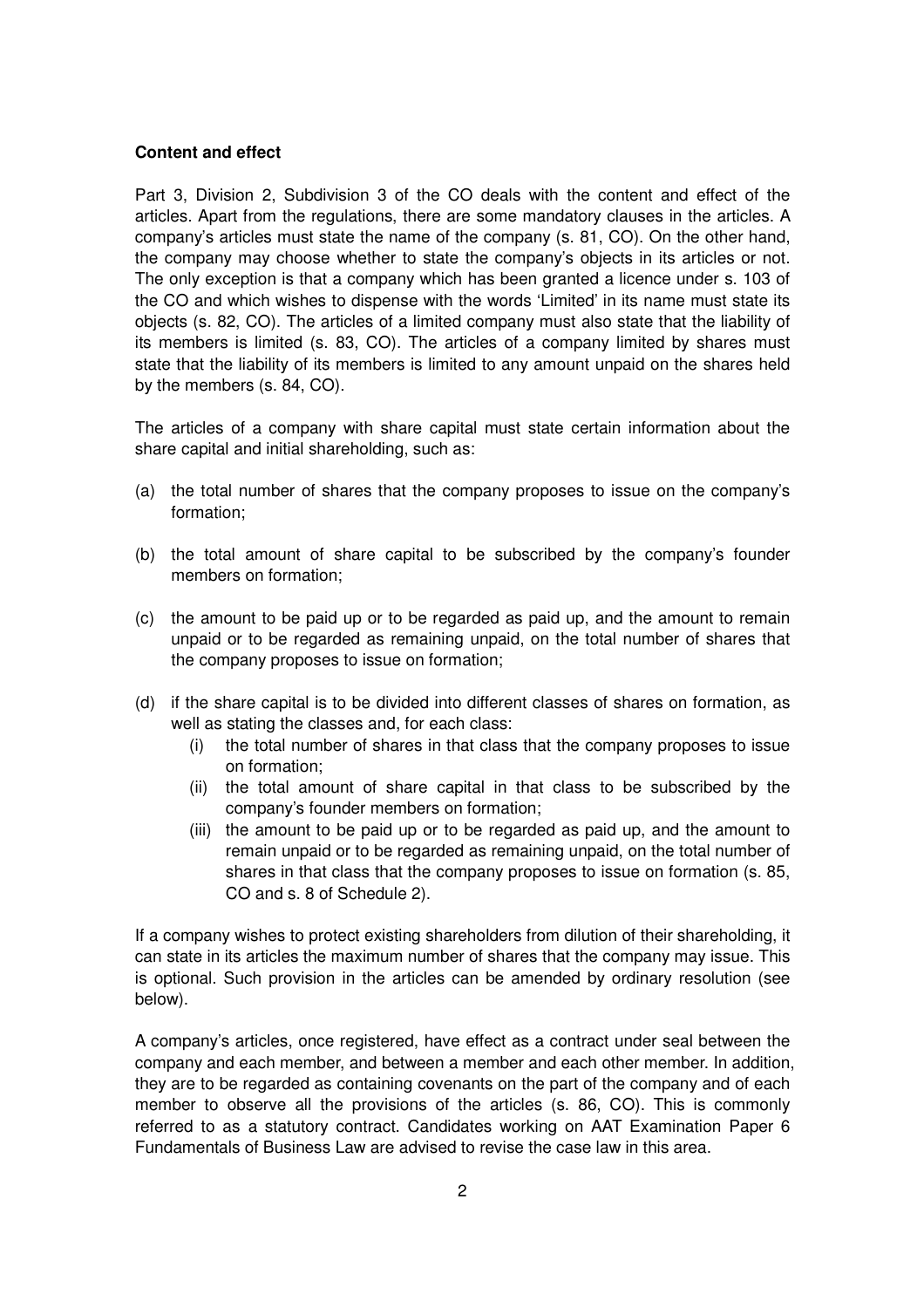## **Content and effect**

Part 3, Division 2, Subdivision 3 of the CO deals with the content and effect of the articles. Apart from the regulations, there are some mandatory clauses in the articles. A company's articles must state the name of the company (s. 81, CO). On the other hand, the company may choose whether to state the company's objects in its articles or not. The only exception is that a company which has been granted a licence under s. 103 of the CO and which wishes to dispense with the words 'Limited' in its name must state its objects (s. 82, CO). The articles of a limited company must also state that the liability of its members is limited (s. 83, CO). The articles of a company limited by shares must state that the liability of its members is limited to any amount unpaid on the shares held by the members (s. 84, CO).

The articles of a company with share capital must state certain information about the share capital and initial shareholding, such as:

- (a) the total number of shares that the company proposes to issue on the company's formation;
- (b) the total amount of share capital to be subscribed by the company's founder members on formation;
- (c) the amount to be paid up or to be regarded as paid up, and the amount to remain unpaid or to be regarded as remaining unpaid, on the total number of shares that the company proposes to issue on formation;
- (d) if the share capital is to be divided into different classes of shares on formation, as well as stating the classes and, for each class:
	- (i) the total number of shares in that class that the company proposes to issue on formation;
	- (ii) the total amount of share capital in that class to be subscribed by the company's founder members on formation;
	- (iii) the amount to be paid up or to be regarded as paid up, and the amount to remain unpaid or to be regarded as remaining unpaid, on the total number of shares in that class that the company proposes to issue on formation (s. 85, CO and s. 8 of Schedule 2).

If a company wishes to protect existing shareholders from dilution of their shareholding, it can state in its articles the maximum number of shares that the company may issue. This is optional. Such provision in the articles can be amended by ordinary resolution (see below).

A company's articles, once registered, have effect as a contract under seal between the company and each member, and between a member and each other member. In addition, they are to be regarded as containing covenants on the part of the company and of each member to observe all the provisions of the articles (s. 86, CO). This is commonly referred to as a statutory contract. Candidates working on AAT Examination Paper 6 Fundamentals of Business Law are advised to revise the case law in this area.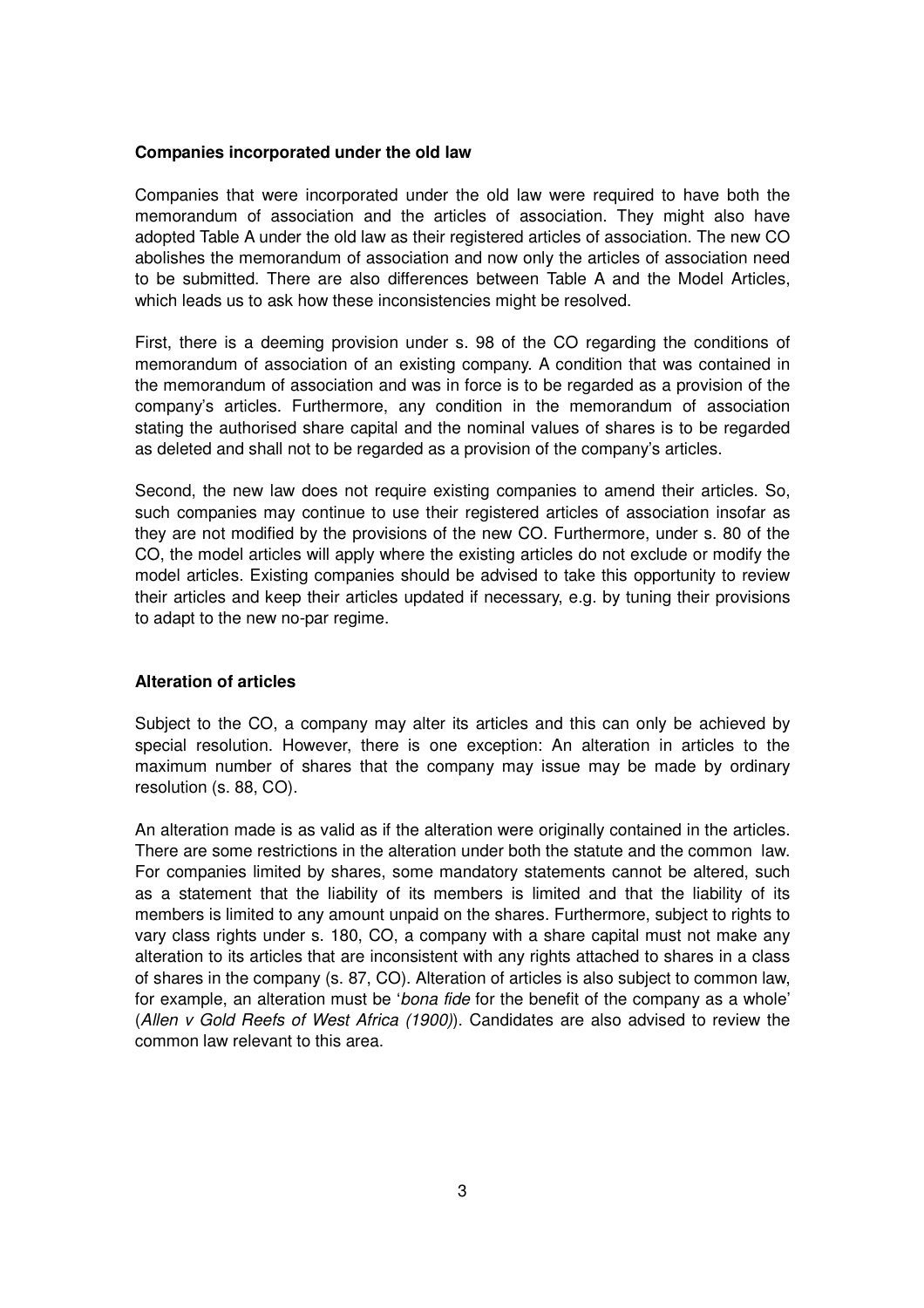#### **Companies incorporated under the old law**

Companies that were incorporated under the old law were required to have both the memorandum of association and the articles of association. They might also have adopted Table A under the old law as their registered articles of association. The new CO abolishes the memorandum of association and now only the articles of association need to be submitted. There are also differences between Table A and the Model Articles, which leads us to ask how these inconsistencies might be resolved.

First, there is a deeming provision under s. 98 of the CO regarding the conditions of memorandum of association of an existing company. A condition that was contained in the memorandum of association and was in force is to be regarded as a provision of the company's articles. Furthermore, any condition in the memorandum of association stating the authorised share capital and the nominal values of shares is to be regarded as deleted and shall not to be regarded as a provision of the company's articles.

Second, the new law does not require existing companies to amend their articles. So, such companies may continue to use their registered articles of association insofar as they are not modified by the provisions of the new CO. Furthermore, under s. 80 of the CO, the model articles will apply where the existing articles do not exclude or modify the model articles. Existing companies should be advised to take this opportunity to review their articles and keep their articles updated if necessary, e.g. by tuning their provisions to adapt to the new no-par regime.

## **Alteration of articles**

Subject to the CO, a company may alter its articles and this can only be achieved by special resolution. However, there is one exception: An alteration in articles to the maximum number of shares that the company may issue may be made by ordinary resolution (s. 88, CO).

An alteration made is as valid as if the alteration were originally contained in the articles. There are some restrictions in the alteration under both the statute and the common law. For companies limited by shares, some mandatory statements cannot be altered, such as a statement that the liability of its members is limited and that the liability of its members is limited to any amount unpaid on the shares. Furthermore, subject to rights to vary class rights under s. 180, CO, a company with a share capital must not make any alteration to its articles that are inconsistent with any rights attached to shares in a class of shares in the company (s. 87, CO). Alteration of articles is also subject to common law, for example, an alteration must be 'bona fide for the benefit of the company as a whole' (Allen v Gold Reefs of West Africa (1900)). Candidates are also advised to review the common law relevant to this area.